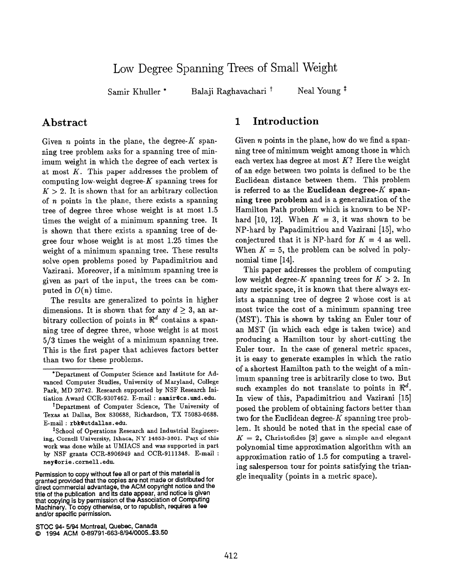# Low Degree Spanning Trees of Small Weight

Samir Khuller \*

Balaji Raghavachari<sup>t</sup> Neal Young<sup>#</sup>

## Abstract

Given *n* points in the plane, the degree- $K$  spanning tree problem asks for a spanning tree of minimum weight in which the degree of each vertex is at most  $K$ . This paper addresses the problem of computing low-weight degree- $K$  spanning trees for  $K > 2$ . It is shown that for an arbitrary collection of  $n$  points in the plane, there exists a spanning tree of degree three whose weight is at most 1.5 times the weight of a minimum spanning tree. It is shown that there exists a spanning tree of degree four whose weight is at most 1.25 times the weight of a minimum spanning tree. These results solve open problems posed by Papadimitriou and Vazirani. Moreover, if a minimum spanning tree is given as part of the input, the trees can be computed in  $O(n)$  time.

The results are generalized to points in higher dimensions. It is shown that for any  $d \geq 3$ , an arbitrary collection of points in  $\mathbb{R}^d$  contains a spanning tree of degree three, whose weight is at most 5/3 times the weight of a minimum spanning tree. This is the first paper that achieves factors better than two for these problems.

## 1 Introduction

Given *n* points in the plane, how do we find a spanning tree of minimum weight among those in which each vertex has degree at most  $K$ ? Here the weight of an edge between two points is defined to be the Euclidean distance between them. This problem is referred to as the Euclidean degree- $K$  spanning tree problem and is a generalization of the Hamilton Path problem which is known to be NPhard [10, 12]. When  $K = 3$ , it was shown to be NP-hard by Papadimitriou and Vazirani [15], who conjectured that it is NP-hard for  $K = 4$  as well. When  $K = 5$ , the problem can be solved in polynomial time [14].

This paper addresses the problem of computing low weight degree-K spanning trees for  $K > 2$ . In any metric space, it is known that there always exists a spanning tree of degree 2 whose cost is at most twice the cost of a minimum spanning tree (MST). This is shown by taking an Euler tour of an MST (in which each edge is taken twice) and producing a Hamilton tour by short-cutting the Euler tour. In the case of general metric spaces, it is easy to generate examples in which the ratio of a shortest Hamilton path to the weight of a minimum spanning tree is arbitrarily close to two. But such examples do not translate to points in  $\mathbb{R}^d$ . In view of this, Papadimitriou and Vazirani [15] posed the problem of obtaining factors better than two for the Euclidean degree- $K$  spanning tree problem. It should be noted that in the special case of  $K = 2$ , Christofides [3] gave a simple and elegant polynomial time approximation algorithm with an approximation ratio of 1.5 for computing a traveling salesperson tour for points satisfying the triangle inequality (points in a metric space).

<sup>\*</sup>Department of Computer Science and Institute for Advanced Computer Studies, University of Maryland, College Park, MD 20742. Research supported by NSF Research Initiation Award CCR-9307462. E-mail : samir@cs. wad .edu.

t Department of Computer Science, The University of Texas at Dallas, Box 830688, Richardson, TX 75083-0688. Email : rbk@utdallas. edu.

<sup>&</sup>lt;sup>‡</sup>School of Operations Research and Industrial Engineering, Cornell University, Ithaca, NY 14853-3801. Paqt of this work was done while at U MIACS and was supported in part by NSF grants CCR-8906949 and CCR-9111348. Email : ney@orie.cornell.edu.

Permission to copy without fee all or part of this material is granted provided that the copies are not made or distributed for direot commercial advantage, the ACM copyright notice and the title of the publication and its date appear, and notice is given that copying is by permission of the Association of Computing Machinery. To copy otherwise, or to republish, requires a fee and/or specific permission.

STOC 94- 5/94 Montreal, Quebec, Canada

<sup>~</sup> 1994 ACM 0-89791 -663-8/94/0005..\$3.50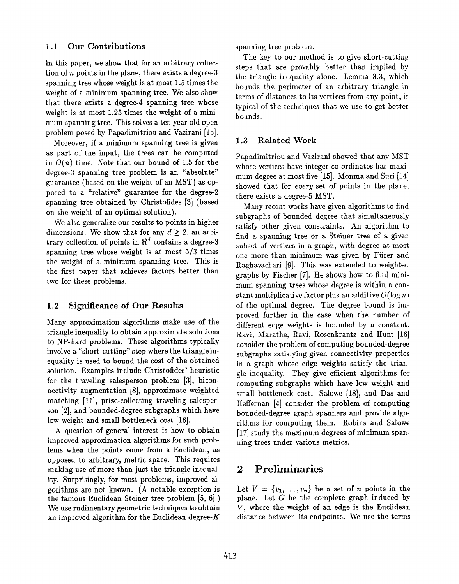### 1.1 Our Contributions

In this paper, we show that for an arbitrary collection of  $n$  points in the plane, there exists a degree-3 spanning tree whose weight is at most 1.5 times the weight of a minimum spanning tree. We also show that there exists a degree-4 spanning tree whose weight is at most 1.25 times the weight of a minimum spanning tree. This solves a ten year old open problem posed by Papadimitriou and Vazirani [15].

Moreover, if a minimum spanning tree is given as part of the input, the trees can be computed in  $O(n)$  time. Note that our bound of 1.5 for the degree-3 spanning tree problem is an "absolute" guarantee (based on the weight of an MST) as opposed to a "relative" guarantee for the degree-2 spanning tree obtained by Christofides [3] (based on the weight of an optimal solution).

We also generalize our results to points in higher dimensions. We show that for any  $d \geq 2$ , an arbitrary collection of points in  $\mathbb{R}^d$  contains a degree-3 spanning tree whose weight is at most 5/3 times the weight of a minimum spanning tree. This is the first paper that achieves factors better than two for these problems.

### 1.2 Significance of Our Results

Many approximation algorithms make use of the triangle inequality to obtain approximate solutions to NP-hard problems. These algorithms typically involve a "short-cutting" step where the triangle inequality is used to bound the cost of the obtained solution. Examples include Christofides' heuristic for the traveling salesperson problem [3], biconnectivity augmentation [8], approximate weighted matching [11], prize-collecting traveling salesperson [2], and bounded-degree subgraphs which have low weight and small bottleneck cost [16].

A question of general interest is how to obtain improved approximation algorithms for such problems when the points come from a Euclidean, as opposed to arbitrary, metric space. This requires making use of more than just the triangle inequality. Surprisingly, for most problems, improved algorithms are not known. (A notable exception is the famous Euclidean Steiner tree problem [5, 6].) We use rudimentary geometric techniques to obtain an improved algorithm for the Euclidean degree- $K$  spanning tree problem.

The key to our method is to give short-cutting steps that are provably better than implied by the triangle inequality alone. Lemma 3.3, which bounds the perimeter of an arbitrary triangle in terms of distances to its vertices from any point, is typical of the techniques that we use to get better bounds.

### 1.3 Related Work

Papadimitriou and Vazirani showed that any MST whose vertices have integer co-ordinates has maximum degree at most five [15], Monma and Suri [14] showed that for *every* set of points in the plane, there exists a degree-5 MST.

Many recent works have given algorithms to find subgraphs of bounded degree that simultaneously satisfy other given constraints. An algorithm to find a spanning tree or a Steiner tree of a given subset of vertices in a graph, with degree at most one more than minimum was given by Fürer and Raghavachari [9]. This was extended to weighted graphs by Fischer [7]. He shows how to find minimum spanning trees whose degree is within a constant multiplicative factor plus an additive  $O(\log n)$ of the optimal degree. The degree bound is improved further in the case when the number of different edge weights is bounded by a constant. Ravi, Marathe, Ravi, Rosenkrantz and Hunt [16] consider the problem of computing bounded-degree subgraphs satisfying given connectivity properties in a graph whose edge weights satisfy the triangle inequality. They give efficient algorithms for computing subgraphs which have low weight and small bottleneck cost. Salowe [18], and Das and Heffernan [4] consider the problem of computing bounded-degree graph spanners and provide algorithms for computing them. Robins and Salowe [17] study the maximum degrees of minimum spanning trees under various metrics.

## 2 Preliminaries

Let  $V = \{v_1, \ldots, v_n\}$  be a set of *n* points in the plane. Let  $G$  be the complete graph induced by V, where the weight of an edge is the Euclidean distance between its endpoints. We use the terms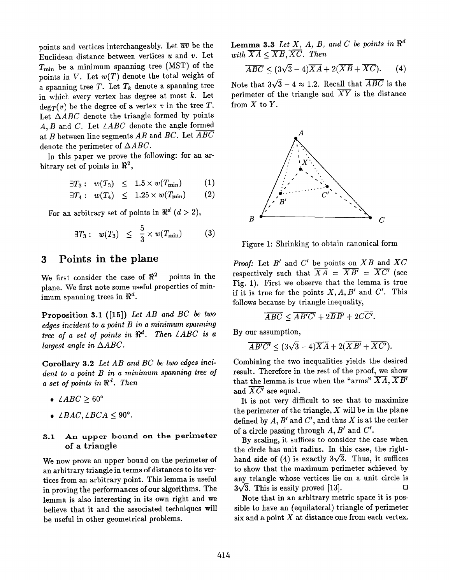points and vertices interchangeably. Let  $\overline{uv}$  be the Euclidean distance between vertices  $u$  and  $v$ . Let  $T_{\text{min}}$  be a minimum spanning tree (MST) of the points in  $V$ . Let  $w(T)$  denote the total weight of a spanning tree T. Let  $T_k$  denote a spanning tree in which every vertex has degree at most  $k$ . Let  $\deg_T(v)$  be the degree of a vertex v in the tree T. Let  $\triangle ABC$  denote the triangle formed by points A, B and C. Let  $\angle ABC$  denote the angle formed at B between line segments  $AB$  and  $BC$ . Let  $\overline{ABC}$ denote the perimeter of  $\triangle ABC$ .

In this paper we prove the following: for an arbitrary set of points in  $\Re^2$ ,

$$
\exists T_3: w(T_3) \leq 1.5 \times w(T_{\min}) \qquad (1)
$$

$$
\exists T_4: w(T_4) \leq 1.25 \times w(T_{\min}) \qquad (2)
$$

For an arbitrary set of points in  $\pi^-(a > 2)$ 

$$
\exists T_3: w(T_3) \leq \frac{5}{3} \times w(T_{\min}) \qquad (3)
$$

## 3 Points in the plane

We first consider the case of  $\Re^2$  – points in the plane. We first note some useful properties of minimum spanning trees in  $\mathbb{R}^d$ .

Proposition 3.1 ([15]) Let AB and BC be two edges incident to a point  $B$  in a minimum spanning tree of a set of points in  $\Re^d$ . Then  $\angle ABC$  is a largest angle in  $\triangle ABC$ .

Corollary 3.2 Let AB and BC be two edges incident to a point B in a minimum spanning tree of a set of points in  $\mathbb{R}^d$ . Then

- $\angle ABC \geq 60^{\circ}$
- $\angle BAC, \angle BCA \leq 90^{\circ}$ .

#### 3.1 An upper bound on the perimeter of a triangle

We now prove an upper bound on the perimeter of an arbitrary triangle in terms of distances to its vertices from an arbitrary point. This lemma is useful in proving the performances of our algorithms. The lemma is also interesting in its own right and we believe that it and the associated techniques will be useful in other geometrical problems.

**Lemma 3.3** Let X, A, B, and C be points in  $\mathbb{R}^d$  $\overline{\mathbf{v}}$ with  $AA \geq AD$ ,  $AC$ . Then

$$
\overline{ABC} \le (3\sqrt{3} - 4)\overline{XA} + 2(\overline{XB} + \overline{XC}). \tag{4}
$$

Note that  $3\sqrt{3} - 4 \approx 1.2$ . Recall that  $\overline{ABC}$  is the perimeter of the triangle and  $\overline{XY}$  is the distance from  $X$  to  $Y$ .



Figure 1: Shrinking to obtain canonical form

*Proof:* Let B and C' be points on XB and XC respectively such that  $\Lambda A = \Lambda B = \Lambda C$  (see Fig. 1). First we observe that the lemma is true if it is true for the points  $X, A, B'$  and  $C'$ . This follows because by triangle inequality,

$$
\overline{ABC} \leq \overline{AB'C'} + 2\overline{BB'} + 2\overline{CC'}.
$$

By our assumption,

$$
\overline{AB'C'} \le (3\sqrt{3} - 4)\overline{XA} + 2(\overline{XB'} + \overline{XC'})
$$

Combining the two inequalities yields the desired result. Therefore in the rest of the proof, we show that the lemma is true when the "arms"  $\overline{XA}, \overline{XB'}$ and  $\overline{XC'}$  are equal.

It is not very difficult to see that to maximize the perimeter of the triangle,  $X$  will be in the plane defined by  $A, B'$  and  $C'$ , and thus X is at the center of a circle passing through  $A, B'$  and  $C'$ .

By scaling, it suffices to consider the case when the circle has unit radius. In this case, the righthand side of (4) is exactly  $3\sqrt{3}$ . Thus, it suffices to show that the maximum perimeter achieved by any triangle whose vertices lie on a unit circle is  $3\sqrt{3}$ . This is easily proved [13].  $3\sqrt{3}$ . This is easily proved [13].

Note that in an arbitrary metric space it is possible to have an (equilateral) triangle of perimeter six and a point  $X$  at distance one from each vertex.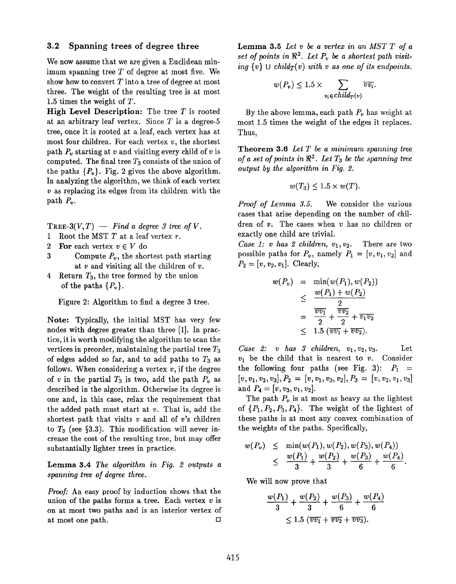#### 3.2 Spanning trees of degree three

We now assume that we are given a Euclidean minimum spanning tree  $T$  of degree at most five. We show how to convert  $T$  into a tree of degree at most three. The weight of the resulting tree is at most 1.5 times the weight of T.

High Level Description: The tree  $T$  is rooted at an arbitrary leaf vertex. Since  $T$  is a degree-5 tree, once it is rooted at a leaf, each vertex has at most four children. For each vertex  $v$ , the shortest path  $P<sub>v</sub>$  starting at v and visiting every child of v is computed. The final tree  $T_3$  consists of the union of the paths  $\{P_{\nu}\}\$ . Fig. 2 gives the above algorithm. In analyzing the algorithm, we think of each vertex  $v$  as replacing its edges from its children with the path  $P_v$ .

TREE-3 $(V, T)$  — Find a degree 3 tree of V.

- 1 Root the MST  $T$  at a leaf vertex  $r$ .
- 2 For each vertex  $v \in V$  do
- 3 Compute  $P_v$ , the shortest path starting at  $v$  and visiting all the children of  $v$ .
- 4 Return  $T_3$ , the tree formed by the union of the paths  $\{P_v\}.$

Figure 2: Algorithm to find a degree 3 tree.

Note: Typically, the initial MST has very few nodes with degree greater than three [1]. In practice, it is worth modifying the algorithm to scan the vertices in preorder, maintaining the partial tree  $T_3$ of edges added so far, and to add paths to  $T_3$  as follows. When considering a vertex  $v$ , if the degree of v in the partial  $T_3$  is two, add the path  $P_v$  as described in the algorithm. Otherwise its degree is one and, in this case, relax the requirement that the added path must start at  $v$ . That is, add the shortest path that visits  $v$  and all of  $v$ 's children to  $T_3$  (see §3.3). This modification will never increase the cost of the resulting tree, but may offer substantially lighter trees in practice.

Lemma 3.4 The algorithm in Fig. 2 outputs a spanning tree of degree three.

Proof: An easy proof by induction shows that the union of the paths forms a tree. Each vertex  $v$  is on at most two paths and is an interior vertex of at most one path.  $\Box$  Lemma 3.5 Let  $v$  be a vertex in an MST  $T$  of a set of points in  $\mathbb{R}^2$ . Let  $P_v$  be a shortest path visiting  $\{v\} \cup child_T(v)$  with v as one of its endpoints.

$$
w(P_v) \le 1.5 \times \sum_{v_i \in child_T(v)} \overline{vv_i}.
$$

By the above lemma, each path  $P<sub>v</sub>$  has weight at most 1.5 times the weight of the edges it replaces. Thus,

**Theorem 3.6** Let  $T$  be a minimum spanning tree of a set of points in  $\mathbb{R}^2$ . Let  $T_3$  be the spanning tree output by the algorithm in Fig. 2.

$$
w(T_3) \leq 1.5 \times w(T).
$$

Proof of Lemma 3.5. We consider the various cases that arise depending on the number of children of v. The cases when v has no children or exactly one child are trivial.

Case 1: v has 2 children,  $v_1, v_2$ . There are two possible paths for  $P_v$ , namely  $P_1 = [v, v_1, v_2]$  and  $P_2 = [v, v_2, v_1]$ . Clearly,

$$
w(P_v) = \min(w(P_1), w(P_2))
$$
  
\n
$$
\leq \frac{w(P_1) + w(P_2)}{2}
$$
  
\n
$$
= \frac{\overline{v} \overline{v_1}}{2} + \frac{\overline{v} \overline{v_2}}{2} + \overline{v_1 v_2}
$$
  
\n
$$
\leq 1.5 (\overline{v} \overline{v_1} + \overline{v} \overline{v_2}).
$$

 $Case 2: v has 3 children, v<sub>1</sub>, v<sub>2</sub>, v<sub>3</sub>.$  Let  $v_1$  be the child that is nearest to  $v$ . Consider the following four paths (see Fig. 3):  $P_1$  =  $[v, v_1, v_2, v_3], P_2 = [v, v_1, v_3, v_2], P_3 = [v, v_2, v_1, v_3]$ and  $P_4 = [v, v_3, v_1, v_2].$ 

The path  $P_v$  is at most as heavy as the lightest of  $\{P_1, P_2, P_3, P_4\}$ . The weight of the lightest of these paths is at most any convex combination of the weights of the paths. Specifically,

$$
w(P_v) \leq \min(w(P_1), w(P_2), w(P_3), w(P_4))
$$
  
 
$$
\leq \frac{w(P_1)}{3} + \frac{w(P_2)}{3} + \frac{w(P_3)}{6} + \frac{w(P_4)}{6}
$$

We will now prove that

$$
\frac{w(P_1)}{3} + \frac{w(P_2)}{3} + \frac{w(P_3)}{6} + \frac{w(P_4)}{6}
$$
  
\$\leq 1.5 (\overline{vv\_1} + \overline{vv\_2} + \overline{vv\_3}).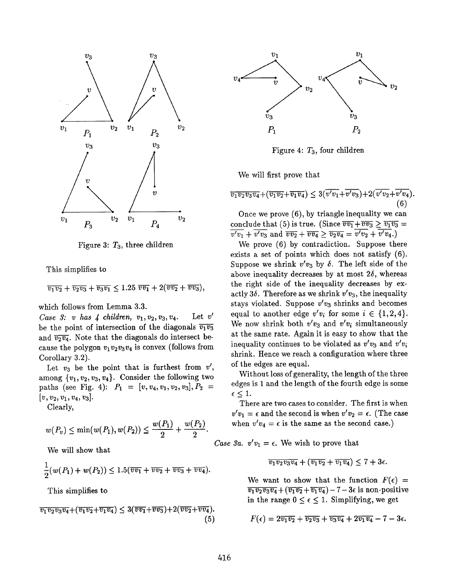

Figure 3:  $T_3$ , three children

This simplifies to

 $\overline{v_1v_2} + \overline{v_2v_3} + \overline{v_3v_1} \leq 1.25 \overline{vv_1} + 2(\overline{vv_2} + \overline{vv_3}),$ 

which follows from Lemma 3.3.

Case 3: v has 4 children,  $v_1, v_2, v_3, v_4$ . Let v' be the point of intersection of the diagonals  $\overline{v_1v_3}$ and  $\overline{v_2v_4}$ . Note that the diagonals do intersect because the polygon  $v_1 v_2 v_3 v_4$  is convex (follows from Corollary 3.2).

Let  $v_3$  be the point that is furthest from  $v'$ , among  ${v_1, v_2, v_3, v_4}$ . Consider the following two paths (see Fig. 4):  $P_1 = [v, v_4, v_1, v_2, v_3], P_2 =$  $[v, v_2, v_1, v_4, v_3].$ 

Clearly,

$$
w(P_v) \le \min(w(P_1), w(P_2)) \le \frac{w(P_1)}{2} + \frac{w(P_2)}{2}.
$$

We will show that

$$
\frac{1}{2}(w(P_1)+w(P_2))\leq 1.5(\overline{vv_1}+\overline{vv_2}+\overline{vv_3}+\overline{vv_4}).
$$

This simplifies to

$$
\overline{v_1v_2v_3v_4}+(\overline{v_1v_2}+\overline{v_1v_4})\leq 3(\overline{v_1}+\overline{v_2}+2(\overline{v_2}+\overline{v_4}).\tag{5}
$$



Figure 4:  $T_3$ , four children

We will first prove that

$$
\overline{v_1v_2v_3v_4}+(\overline{v_1v_2}+\overline{v_1v_4})\leq 3(\overline{v'v_1}+\overline{v'v_3})+2(\overline{v'v_2}+\overline{v'v_4}).\tag{6}
$$

Once we prove (6), by triangle inequality we can conclude that (5) is true. (Since  $\overline{vv_1} + \overline{vv_3} \ge \overline{v_1v_3} =$  $\overline{v'v_1} + \overline{v'v_3}$  and  $\overline{vv_2} + \overline{vv_4} \ge \overline{v_2v_4} = \overline{v'v_2} + \overline{v'v_4}$ .)

We prove (6) by contradiction. Suppose there exists a set of points which does not satisfy (6). Suppose we shrink  $v'v_3$  by  $\delta$ . The left side of the above inequality decreases by at most  $2\delta$ , whereas the right side of the inequality decreases by exactly 36. Therefore as we shrink  $v'v_3$ , the inequality stays violated. Suppose  $v'v_3$  shrinks and becomes equal to another edge  $v'v_i$  for some  $i \in \{1,2,4\}.$ We now shrink both  $v'v_3$  and  $v'v_i$  simultaneously at the same rate. Again it is easy to show that the inequality continues to be violated as  $v'v_3$  and  $v'v_i$ shrink. Hence we reach a configuration where three of the edges are equal.

Without loss of generality, the length of the three edges is 1 and the length of the fourth edge is some  $\epsilon \leq 1$ .

There are two cases to consider. The first is when  $v'v_1 = \epsilon$  and the second is when  $v'v_2 = \epsilon$ . (The case when  $v'v_4 = \epsilon$  is the same as the second case.)

Case 3a.  $v'v_1 = \epsilon$ . We wish to prove that

$$
\overline{v_1v_2v_3v_4} + (\overline{v_1v_2} + \overline{v_1v_4}) \leq 7 + 3\epsilon.
$$

We want to show that the function  $F(\epsilon)$  =  $\overline{v_1v_2v_3v_4} + (\overline{v_1v_2} + \overline{v_1v_4}) - 7 - 3\epsilon$  is non-positive in the range  $0 \leq \epsilon \leq 1$ . Simplifying, we get

(5) 
$$
F(\epsilon) = 2\overline{v_1v_2} + \overline{v_2v_3} + \overline{v_3v_4} + 2\overline{v_1v_4} - 7 - 3\epsilon.
$$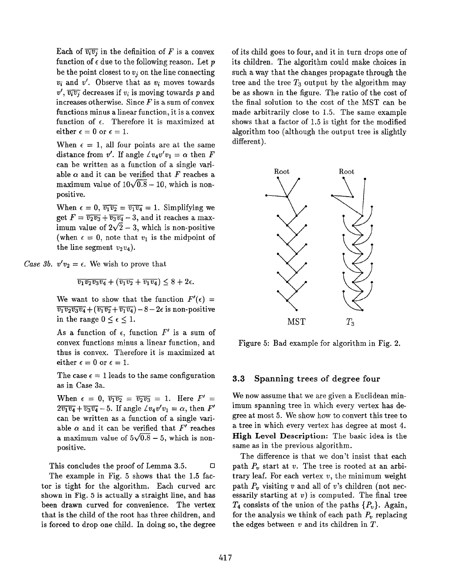Each of  $\overline{v_i v_j}$  in the definition of F is a convex function of  $\epsilon$  due to the following reason. Let p be the point closest to  $v_i$  on the line connecting  $v_i$  and  $v'$ . Observe that as  $v_i$  moves towards  $v', \overline{v_i v_i}$  decreases if  $v_i$  is moving towards p and increases otherwise. Since  $F$  is a sum of convex functions minus a linear function, it is a convex function of  $\epsilon$ . Therefore it is maximized at either  $\epsilon = 0$  or  $\epsilon = 1$ .

When  $\epsilon = 1$ , all four points are at the same distance from v'. If angle  $\angle v_4v'v_1 = \alpha$  then F can be written as a function of a single variable  $\alpha$  and it can be verified that F reaches a maximum value of  $10\sqrt{0.8} - 10$ , which is nonpositive.

When  $\epsilon = 0$ ,  $\overline{v_1 v_2} = \overline{v_1 v_4} = 1$ . Simplifying we get  $F = \overline{v_2 v_3} + \overline{v_3 v_4} - 3$ , and it reaches a max imum value of  $2\sqrt{2} - 3$ , which is non-positive (when  $\epsilon = 0$ , note that  $v_1$  is the midpoint of the line segment  $v_2v_4$ ).

Case 3b.  $v'v_2 = \epsilon$ . We wish to prove that

 $\overline{v_1v_2v_3v_4} + (\overline{v_1v_2} + \overline{v_1v_4}) \leq 8 + 2\epsilon.$ 

We want to show that the function  $F'(\epsilon)$  =  $\overline{v_1v_2v_3v_4} + (\overline{v_1v_2} + \overline{v_1v_4}) - 8 - 2\epsilon$  is non-positive in the range  $0 \leq \epsilon \leq 1$ .

As a function of  $\epsilon$ , function  $F'$  is a sum of convex functions minus a linear function, and thus is convex. Therefore it is maximized at either  $\epsilon = 0$  or  $\epsilon = 1$ .

The case  $\epsilon = 1$  leads to the same configuration as in Case 3a.

When  $\epsilon = 0$ ,  $\overline{v_1v_2} = \overline{v_2v_3} = 1$ . Here  $F' =$  $2\overline{v_1v_4} + \overline{v_3v_4} - 5$ . If angle  $\angle v_4v'v_1 = \alpha$ , then  $F'$ can be written as a function of a single variable  $\alpha$  and it can be verified that  $F'$  reaches a maximum value of  $5\sqrt{0.8} - 5$ , which is nonpositive.

This concludes the proof of Lemma 3.5. ❑

The example in Fig, 5 shows that the 1.5 factor is tight for the algorithm. Each curved arc shown in Fig. 5 is actually a straight line, and has been drawn curved for convenience. The vertex that is the child of the root has three children, and is forced to drop one child. In doing so, the degree

of its child goes to four, and it in turn. drops one of its children. The algorithm could make choices in such a way that the changes propagate through the tree and the tree  $T_3$  output by the algorithm may be as shown in the figure. The ratio of the cost of the final solution to the cost of the MST can be made arbitrarily close to 1.5. The same example shows that a factor of 1.5 is tight for the modified algorithm too (although the output tree is slightly different).



Figure 5: Bad example for algorithm in Fig. 2.

#### 3.3 Spanning trees of degree four

We now assume that we are given a Euclidean minimum spanning tree in which every vertex has degree at most 5. We show how to convert this tree to a tree in which every vertex has degree at most 4. High Level Description: The basic idea is the same as in the previous algorithm.

The difference is that we don't insist that each path  $P_v$  start at v. The tree is rooted at an arbitrary leaf. For each vertex  $v$ , the minimum weight path  $P_v$  visiting v and all of v's children (not necessarily starting at  $v$ ) is computed. The final tree  $T_4$  consists of the union of the paths  $\{P_v\}$ . Again, for the analysis we think of each path  $P_y$  replacing the edges between  $v$  and its children in  $T$ .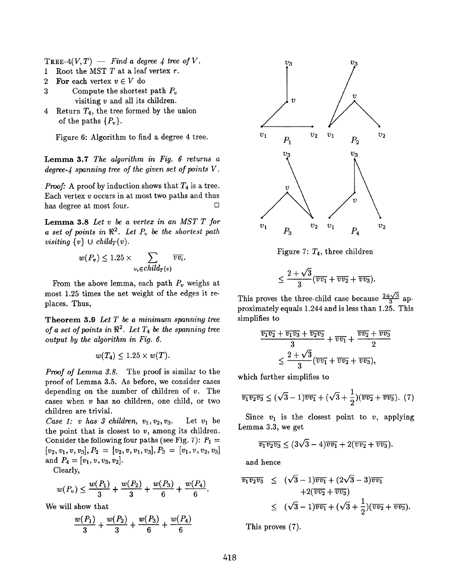TREE-4 $(V, T)$  — Find a degree 4 tree of V.

- 1 Root the MST  $T$  at a leaf vertex  $r$ .
- 2 For each vertex  $v \in V$  do
- 3 Compute the shortest path  $P_v$ visiting v and all its children.
- 4 Return  $T_4$ , the tree formed by the union of the paths  $\{P_v\}.$

Figure 6: Algorithm to find a degree 4 tree.

Lemma 3.7 The algorithm in Fig. 6 returns a degree- $\mu$  spanning tree of the given set of points V.

*Proof:* A proof by induction shows that  $T_4$  is a tree. Each vertex  $v$  occurs in at most two paths and thus has degree at most four. ❑

Lemma 3.8 Let  $v$  be a vertex in an MST  $T$  for a set of points in  $\mathbb{R}^2$ . Let  $P_v$  be the shortest path visiting  $\{v\} \cup child_T(v)$ .

$$
w(P_v) \le 1.25 \times \sum_{v_i \in child_T(v)} \overline{vv_i}.
$$

From the above lemma, each path  $P_v$  weighs at most 1.25 times the net weight of the edges it replaces. Thus,

Theorem 3.9 Let  $T$  be a minimum spanning tree of a set of points in  $\mathbb{R}^2$ . Let  $T_4$  be the spanning tree output by the algorithm in Fig. 6.

 $w(T_4) \leq 1.25 \times w(T)$ .

Proof of Lemma 3.8. The proof is similar to the proof of Lemma 3.5. As before, we consider cases depending on the number of children of v. The cases when  $v$  has no children, one child, or two children are trivial.

Case 1: v has 3 children,  $v_1, v_2, v_3$ . Let  $v_1$  be the point that is closest to  $v$ , among its children. Consider the following four paths (see Fig. 7):  $P_1 =$  $[v_2,v_1,v,v_3], P_2 = [v_2,v,v_1,v_3], P_3 = [v_1,v,v_2,v_3]$ and  $P_4 = [v_1, v, v_3, v_2].$ 

Clearly,

$$
w(P_v) \le \frac{w(P_1)}{3} + \frac{w(P_2)}{3} + \frac{w(P_3)}{6} + \frac{w(P_4)}{6}.
$$

We will show that

$$
\frac{w(P_1)}{3} + \frac{w(P_2)}{3} + \frac{w(P_3)}{6} + \frac{w(P_4)}{6}
$$



Figure 7:  $T_4$ , three children

$$
\leq \frac{2+\sqrt{3}}{3}(\overline{vv_1}+\overline{vv_2}+\overline{vv_3}).
$$

This proves the three-child case because  $\frac{2+\sqrt{3}}{3}$  approximately equals 1.244 and is less than 1.25. This simplifies to

$$
\frac{\overline{v_1v_2} + \overline{v_1v_3} + \overline{v_2v_3}}{3} + \overline{v_1v_1} + \frac{\overline{v_2v_2} + \overline{v_3v_3}}{2}
$$

$$
\leq \frac{2 + \sqrt{3}}{3} (\overline{v_1v_1} + \overline{v_2v_2} + \overline{v_3v_3}),
$$

which further simplifies to

$$
\overline{v_1v_2v_3} \le (\sqrt{3}-1)\overline{v_1} + (\sqrt{3}+\frac{1}{2})(\overline{v_2}+\overline{v_3}). \tag{7}
$$

Since  $v_1$  is the closest point to  $v$ , applying Lemma 3.3, we get

$$
\overline{v_1v_2v_3} \leq (3\sqrt{3}-4)\overline{v_1}+2(\overline{v_2}+\overline{v_3}).
$$

and hence

$$
\frac{\overline{v_1v_2v_3}}{\sqrt{v_1v_2v_3}} \leq (\sqrt{3}-1)\overline{v_1v_1} + (2\sqrt{3}-3)\overline{v_2v_1} \n+2(\overline{v_2v_2} + \overline{v_2v_3}) \n\leq (\sqrt{3}-1)\overline{v_1v_1} + (\sqrt{3}+\frac{1}{2})(\overline{v_2v_2} + \overline{v_2v_3}).
$$

This proves (7).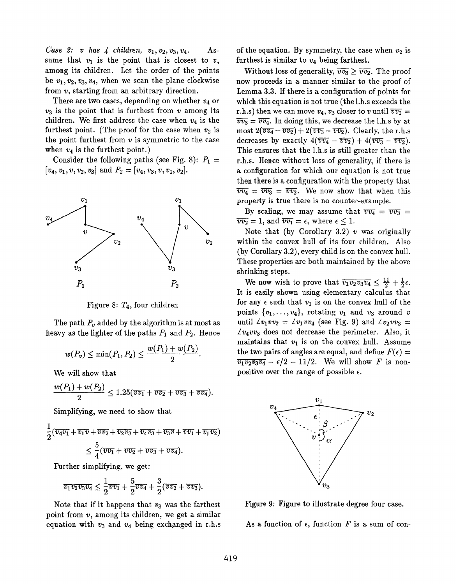Case 2: v has  $\downarrow$  children,  $v_1, v_2, v_3, v_4$ . Assume that  $v_1$  is the point that is closest to v, among its children. Let the order of the points be  $v_1, v_2, v_3, v_4$ , when we scan the plane clockwise from v, starting from an arbitrary direction.

There are two cases, depending on whether  $v_4$  or  $v_3$  is the point that is furthest from  $v$  among its children. We first address the case when  $v_4$  is the furthest point. (The proof for the case when  $v_2$  is the point furthest from  $v$  is symmetric to the case when  $v_4$  is the furthest point.)

Consider the following paths (see Fig. 8):  $P_1$  =  $[v_4, v_1, v, v_2, v_3]$  and  $P_2 = [v_4, v_3, v, v_1, v_2]$ .



Figure 8:  $T_4$ , four children

The path  $P_v$  added by the algorithm is at most as heavy as the lighter of the paths  $P_1$  and  $P_2$ . Hence

$$
w(P_v) \le \min(P_1, P_2) \le \frac{w(P_1) + w(P_2)}{2}.
$$

We will show that

$$
\frac{w(P_1)+w(P_2)}{2}\leq 1.25(\overline{vv_1}+\overline{vv_2}+\overline{vv_3}+\overline{vv_4}).
$$

Simplifying, we need to show that

$$
\frac{1}{2}(\overline{v_4v_1} + \overline{v_1v} + \overline{v_2v_2} + \overline{v_2v_3} + \overline{v_4v_3} + \overline{v_3v} + \overline{v_7v_1} + \overline{v_1v_2})
$$
\n
$$
\leq \frac{5}{4}(\overline{v_7v_1} + \overline{v_7v_2} + \overline{v_7v_3} + \overline{v_7v_4}).
$$

Further simplifying, we get:

$$
\overline{v_1v_2v_3v_4} \leq \frac{1}{2}\overline{v_1} + \frac{5}{2}\overline{v_4} + \frac{3}{2}(\overline{v_2} + \overline{v_3}).
$$

Note that if it happens that  $v_3$  was the farthest point from  $v$ , among its children, we get a similar equation with  $v_3$  and  $v_4$  being exchanged in r.h.s of the equation. By symmetry, the case when  $v_2$  is furthest is similar to  $v_4$  being farthest.

Without loss of generality,  $\overline{vv_3} \geq \overline{vv_2}$ . The proof now proceeds in a manner similar to the proof of Lemma 3.3. If there is a configuration of points for which this equation is not true (the l.h.s exceeds the r.h.s) then we can move  $v_4$ ,  $v_3$  closer to v until  $\overline{vv_2}$  =  $\overline{vv_3} = \overline{vv_4}$ . In doing this, we decrease the l.h.s by at most  $2(\overline{vv_4} - \overline{vv_2}) + 2(\overline{vv_3} - \overline{vv_2})$ . Clearly, the r.h.s decreases by exactly  $4(\overline{vv_4} - \overline{vv_2}) + 4(\overline{vv_3} - \overline{vv_2}).$ This ensures that the l.h.s is still greater than the r.h.s. Hence without loss of generality, if there is a configuration for which our equation is not true then there is a configuration with the property that  $\overline{vv_4} = \overline{vv_3} = \overline{vv_2}$ . We now show that when this property is true there is no counter-example.

By scaling, we may assume that  $\overline{vv_4} = \overline{vv_3}$  $\overline{vv_2} = 1$ , and  $\overline{vv_1} = \epsilon$ , where  $\epsilon \leq 1$ .

Note that (by Corollary 3.2)  $v$  was originally within the convex hull of its four children. Also (by Corollary  $3.2$ ), every child is on the convex hull. These properties are both maintained by the above shrinking steps.

We now wish to prove that  $\overline{v_1v_2v_3v_4} \leq \frac{11}{2} + \frac{1}{2}\epsilon$ . It is easily shown using elementary calculus that for any  $\epsilon$  such that  $v_1$  is on the convex hull of the points  $\{v_1, \ldots, v_4\}$ , rotating  $v_1$  and  $v_3$  around v until  $\angle v_1v_2 = \angle v_1vv_4$  (see Fig. 9) and  $\angle v_2vv_3$  =  $\angle v_4 v v_3$  does not decrease the perimeter. Also, it maintains that  $v_1$  is on the convex hull. Assume the two pairs of angles are equal, and define  $F(\epsilon) =$  $\overline{v_1v_2v_3v_4} - \epsilon/2 - 11/2$ . We will show F is nonpositive over the range of possible  $\epsilon$ .



Figure 9: Figure to illustrate degree four case.

As a function of  $\epsilon$ , function F is a sum of con-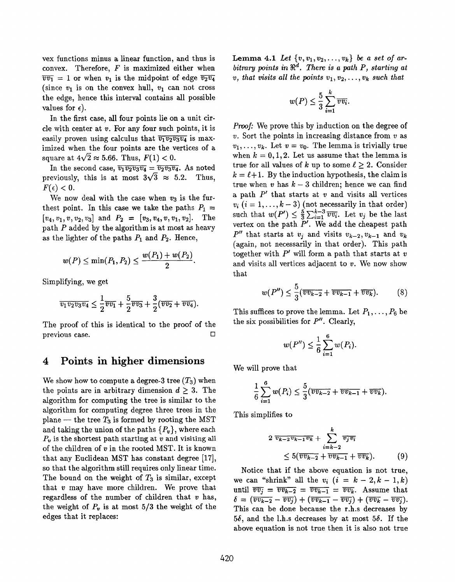vex functions minus a linear function, and thus is convex. Therefore,  $F$  is maximized either when  $\overline{vv_1} = 1$  or when  $v_1$  is the midpoint of edge  $\overline{v_2v_4}$ (since  $v_1$  is on the convex hull,  $v_1$  can not cross the edge, hence this interval contains all possible values for  $\epsilon$ ).

In the first case, all four points lie on a unit circle with center at  $v$ . For any four such points, it is easily proven using calculus that  $\overline{v_1 v_2 v_3 v_4}$  is maximized when the four points are the vertices of a square at  $4\sqrt{2} \approx 5.66$ . Thus,  $F(1) < 0$ .

In the second case,  $\overline{v_1v_2v_3v_4} = \overline{v_2v_3v_4}$ . As noted previously, this is at most  $3\sqrt{3} \approx 5.2$ . Thus,  $F(\epsilon) < 0.$ 

We now deal with the case when  $v_3$  is the furthest point. In this case we take the paths  $P_1 =$  $[v_4, v_1, v, v_2, v_3]$  and  $P_2 = [v_3, v_4, v, v_1, v_2]$ . The path  $P$  added by the algorithm is at most as heavy as the lighter of the paths  $P_1$  and  $P_2$ . Hence,

$$
w(P)\leq \min(P_1,P_2)\leq \frac{w(P_1)+w(P_2)}{2}.
$$

Simplifying, we get

$$
\overline{v_1v_2v_3v_4} \leq \frac{1}{2}\overline{v_0v_1} + \frac{5}{2}\overline{v_0v_3} + \frac{3}{2}(\overline{v_0v_2} + \overline{v_0v_4}).
$$

The proof of this is identical to the proof of the previous case. ❑

## 4 Points in higher dimensions

We show how to compute a degree-3 tree  $(T_3)$  when the points are in arbitrary dimension  $d \geq 3$ . The algorithm for computing the tree is similar to the algorithm for computing degree three trees in the plane — the tree  $T_3$  is formed by rooting the MST and taking the union of the paths  $\{P_v\}$ , where each  $P_v$  is the shortest path starting at v and visiting all of the children of  $v$  in the rooted MST. It is known that any Euclidean MST has constant degree [17], so that the algorithm still requires only linear time. The bound on the weight of  $T_3$  is similar, except that  $v$  may have more children. We prove that regardless of the number of children that  $v$  has, the weight of  $P_v$  is at most 5/3 the weight of the edges that it replaces:

Lemma 4.1 Let  $\{v, v_1, v_2, ..., v_k\}$  be a set of arbitrary points in  $\mathbb{R}^d$ . There is a path P, starting at v, that visits all the points  $v_1, v_2, \ldots, v_k$  such that

$$
w(P) \leq \frac{5}{3} \sum_{i=1}^{k} \overline{vv_i}
$$

*Proof:* We prove this by induction on the degree of  $v.$  Sort the points in increasing distance from  $v$  as  $v_1, \ldots, v_k$ . Let  $v = v_0$ . The lemma is trivially true when  $k = 0, 1, 2$ . Let us assume that the lemma is true for all values of k up to some  $\ell \geq 2$ . Consider  $k = \ell + 1$ . By the induction hypothesis, the claim is true when v has  $k-3$  children; hence we can find a path  $P'$  that starts at  $v$  and visits all vertices  $v_i$   $(i = 1, ..., k - 3)$  (not necessarily in that order) such that  $w(P') \leq \frac{5}{3} \sum_{i=1}^{k-3} \overline{vv_i}$ . Let  $v_j$  be the last vertex on the path  $P'$ . We add the cheapest path  $P''$  that starts at  $v_i$  and visits  $v_{k-2}, v_{k-1}$  and  $v_k$ (again, not necessarily in that order). This path together with  $P'$  will form a path that starts at v and visits all vertices adjacent to  $v$ . We now show that

$$
w(P'') \leq \frac{5}{3}(\overline{vv_{k-2}} + \overline{vv_{k-1}} + \overline{vv_k}).
$$
 (8)

This suffices to prove the lemma. Let  $P_1, \ldots, P_6$  be the six possibilities for  $P''$ . Clearly,

$$
w(P'') \leq \frac{1}{6} \sum_{i=1}^{6} w(P_i).
$$

We will prove that

$$
\frac{1}{6}\sum_{i=1}^6 w(P_i) \leq \frac{5}{3}(\overline{vv_{k-2}} + \overline{vv_{k-1}} + \overline{vv_k}).
$$

This simplifies to

$$
2 \overline{v_{k-2}v_{k-1}v_k} + \sum_{i=k-2}^{k} \overline{v_jv_i}
$$
  
 
$$
\leq 5(\overline{vv_{k-2}} + \overline{vv_{k-1}} + \overline{vv_k}). \tag{9}
$$

Notice that if the above equation is not true, we can "shrink" all the  $v_i$   $(i = k - 2, k - 1, k)$ until  $\overline{vv_j} = \overline{vv_{k-2}} = \overline{vv_{k-1}} = \overline{vv_k}$ . Assume that  $\delta = (\overline{vv_{k-2}} - \overline{vv_j}) + (\overline{vv_{k-1}} - \overline{vv_j}) + (\overline{vv_k} - \overline{vv_j}).$ This can be done because the r.h.s decreases by  $5\delta$ , and the l.h.s decreases by at most  $5\delta$ . If the above equation is not true then it is also not true